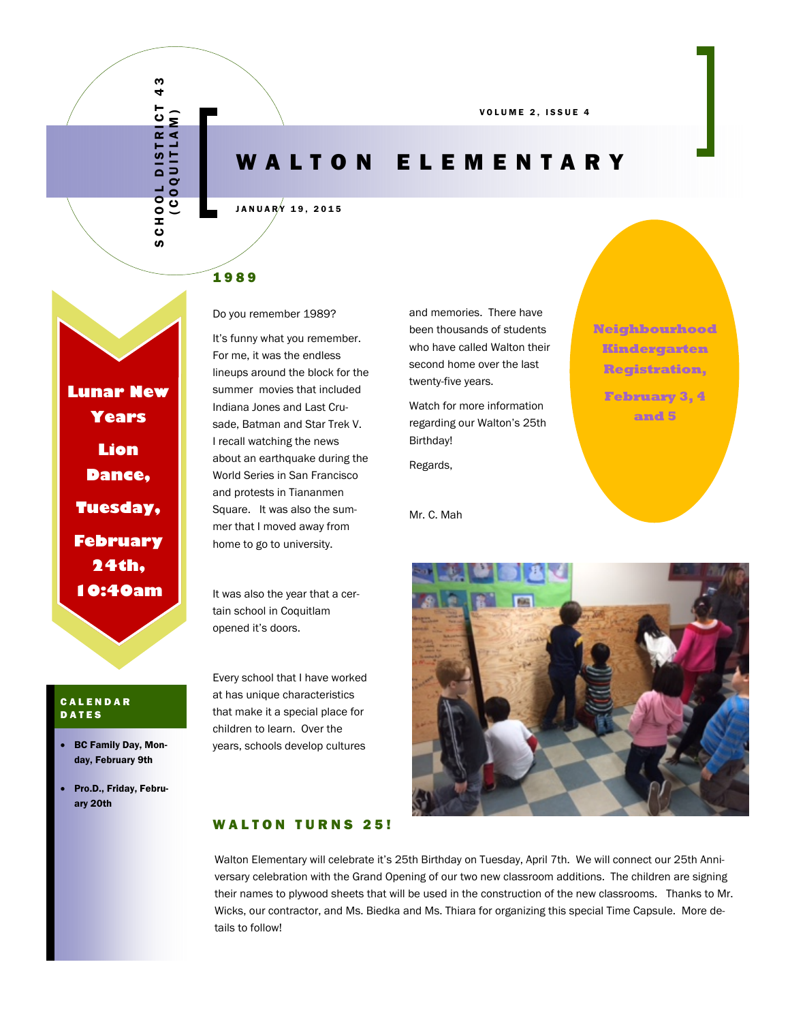# WALTON ELEMENTARY

### JANUARY 19, 2015

# 1989

SCHOOL DISTRICT 43 (COQUITLAM)

**SCHOOL** 

(COQUITLAM)<br>(COQUITLAM)

 $\frac{3}{4}$ 

 $\mathsf{C}$ 

**Years Lion Dance, Tuesday, February 24th, 10:40am** 

Do you remember 1989?

It's funny what you remember. For me, it was the endless lineups around the block for the summer movies that included Indiana Jones and Last Crusade, Batman and Star Trek V. I recall watching the news about an earthquake during the World Series in San Francisco and protests in Tiananmen Square. It was also the summer that I moved away from home to go to university.

It was also the year that a certain school in Coquitlam opened it's doors.

### CALENDAR DATES

- BC Family Day, Monday, February 9th
- Pro.D., Friday, February 20th

Every school that I have worked at has unique characteristics that make it a special place for children to learn. Over the years, schools develop cultures

## WALTON TURNS 25!

Walton Elementary will celebrate it's 25th Birthday on Tuesday, April 7th. We will connect our 25th Anniversary celebration with the Grand Opening of our two new classroom additions. The children are signing their names to plywood sheets that will be used in the construction of the new classrooms. Thanks to Mr. Wicks, our contractor, and Ms. Biedka and Ms. Thiara for organizing this special Time Capsule. More details to follow!

and memories. There have been thousands of students who have called Walton their second home over the last twenty-five years.

Watch for more information regarding our Walton's 25th Birthday!

Regards,

Mr. C. Mah

**Neighbourhood Kindergarten Registration, February 3, 4 and 5** 



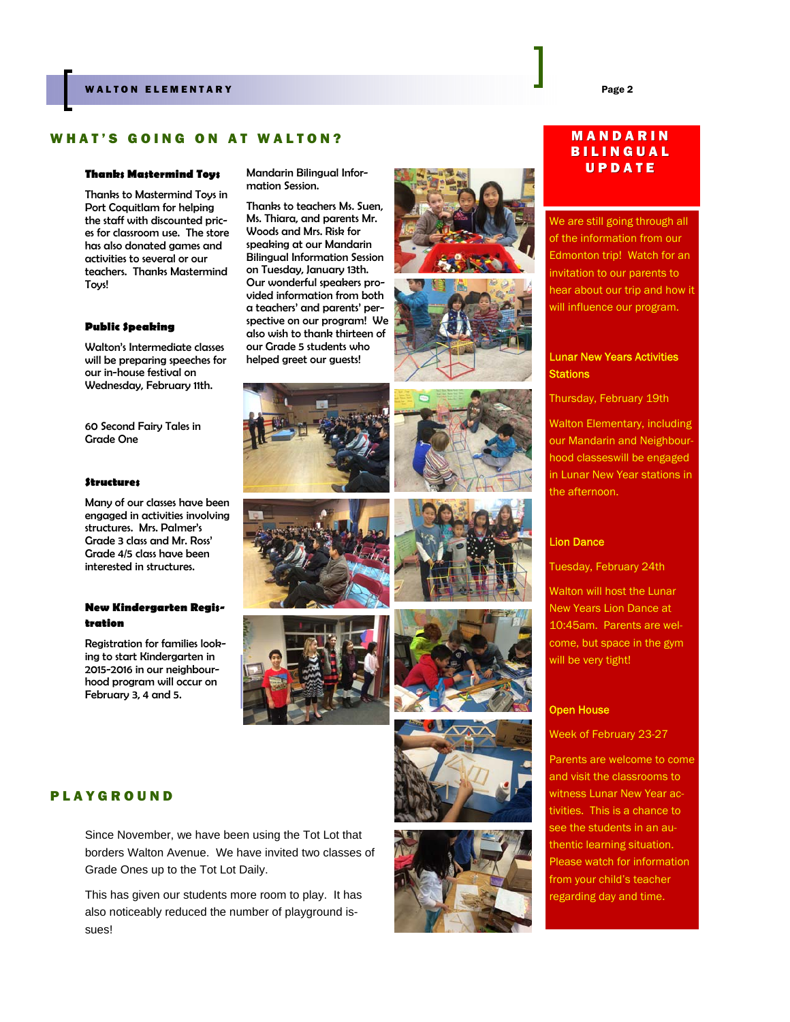# WHAT'S GOING ON AT WALTON?

#### **Thanks Mastermind Toys**

Thanks to Mastermind Toys in Port Coquitlam for helping the staff with discounted prices for classroom use. The store has also donated games and activities to several or our teachers. Thanks Mastermind Tous!

#### **Public Speaking**

Walton's Intermediate classes will be preparing speeches for our in-house festival on Wednesday, February 11th.

60 Second Fairy Tales in Grade One

### **Structures**

Many of our classes have been engaged in activities involving structures. Mrs. Palmer's Grade 3 class and Mr. Ross' Grade 4/5 class have been interested in structures.

### **New Kindergarten Registration**

Registration for families looking to start Kindergarten in 2015-2016 in our neighbourhood program will occur on February 3, 4 and 5.

Mandarin Bilingual Information Session.

Thanks to teachers Ms. Suen, Ms. Thiara, and parents Mr. Woods and Mrs. Risk for speaking at our Mandarin Bilingual Information Session on Tuesday, January 13th. Our wonderful speakers provided information from both a teachers' and parents' perspective on our program! We also wish to thank thirteen of our Grade 5 students who helped greet our guests!



















# **MANDARIN BILINGUAL**

UPDATE

We are still going through all of the information from our Edmonton trip! Watch for an invitation to our parents to hear about our trip and how it will influence our program.

### Lunar New Years Activities **Stations**

Thursday, February 19th

Walton Elementary, including our Mandarin and Neighbourhood classeswill be engaged in Lunar New Year stations in the afternoon.

### Lion Dance

Tuesday, February 24th

Walton will host the Lunar New Years Lion Dance at 10:45am. Parents are welcome, but space in the gym will be very tight!

### Open House

Week of February 23-27

Parents are welcome to come and visit the classrooms to witness Lunar New Year activities. This is a chance to see the students in an authentic learning situation. Please watch for information from your child's teacher regarding day and time.

## **PLAYGROUND**

Since November, we have been using the Tot Lot that borders Walton Avenue. We have invited two classes of Grade Ones up to the Tot Lot Daily.

This has given our students more room to play. It has also noticeably reduced the number of playground issues!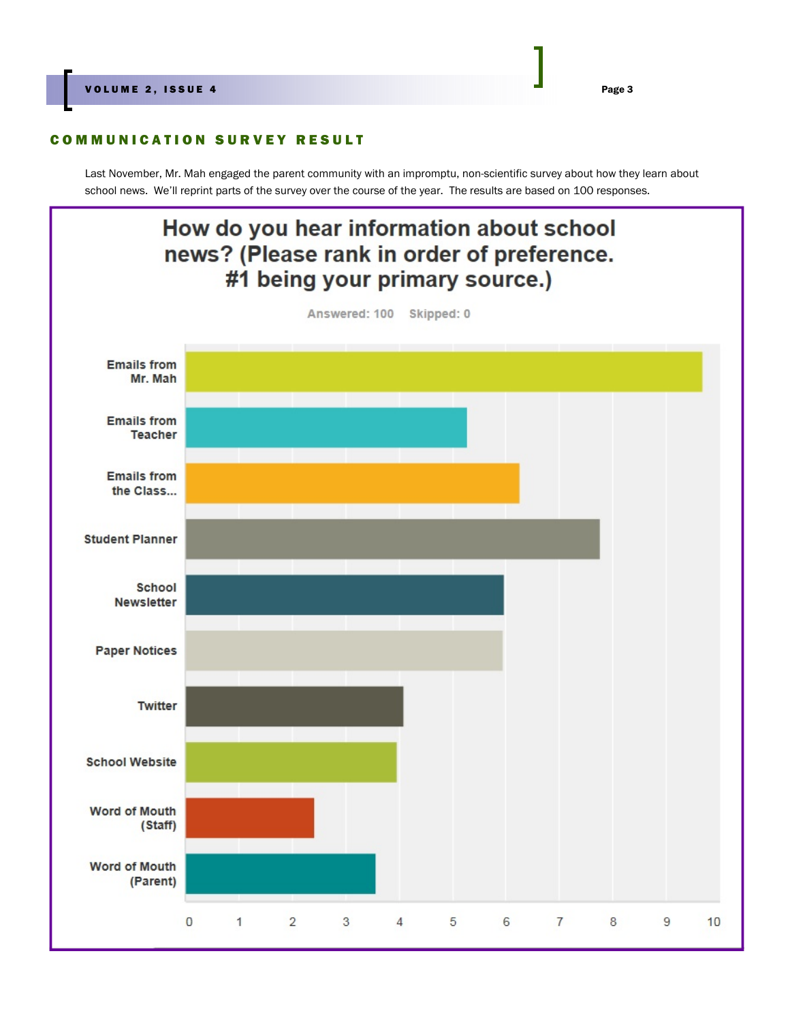## COMMUNICATION SURVEY RESULT

Last November, Mr. Mah engaged the parent community with an impromptu, non-scientific survey about how they learn about school news. We'll reprint parts of the survey over the course of the year. The results are based on 100 responses.

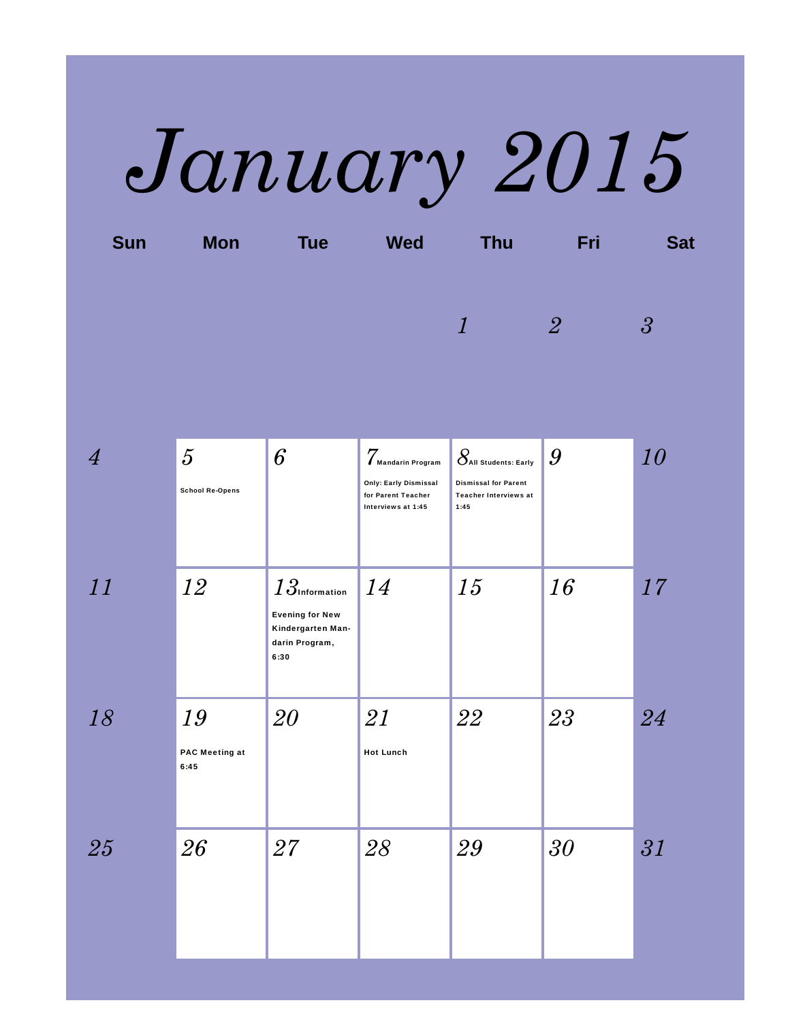# *January 2015*

| Sun | Mon Tue | Wed Thu Fri         | <b>Sat</b>          |
|-----|---------|---------------------|---------------------|
|     |         | $1 \qquad \qquad 2$ | $\overline{\cdot}3$ |

| $\boldsymbol{4}$ | $\overline{5}$<br><b>School Re-Opens</b> | 6                                                                                         | $7$ Mandarin Program<br><b>Only: Early Dismissal</b><br>for Parent Teacher<br>Interviews at 1:45 | $\mathcal S$ All Students: Early<br><b>Dismissal for Parent</b><br><b>Teacher Interviews at</b><br>1:45 | 9  | 10 |
|------------------|------------------------------------------|-------------------------------------------------------------------------------------------|--------------------------------------------------------------------------------------------------|---------------------------------------------------------------------------------------------------------|----|----|
| 11               | 12                                       | $13$ Information<br><b>Evening for New</b><br>Kindergarten Man-<br>darin Program,<br>6:30 | 14                                                                                               | 15                                                                                                      | 16 | 17 |
| 18               | 19<br><b>PAC Meeting at</b><br>6:45      | 20                                                                                        | 21<br><b>Hot Lunch</b>                                                                           | 22                                                                                                      | 23 | 24 |
| 25               | 26                                       | 27                                                                                        | 28                                                                                               | 29                                                                                                      | 30 | 31 |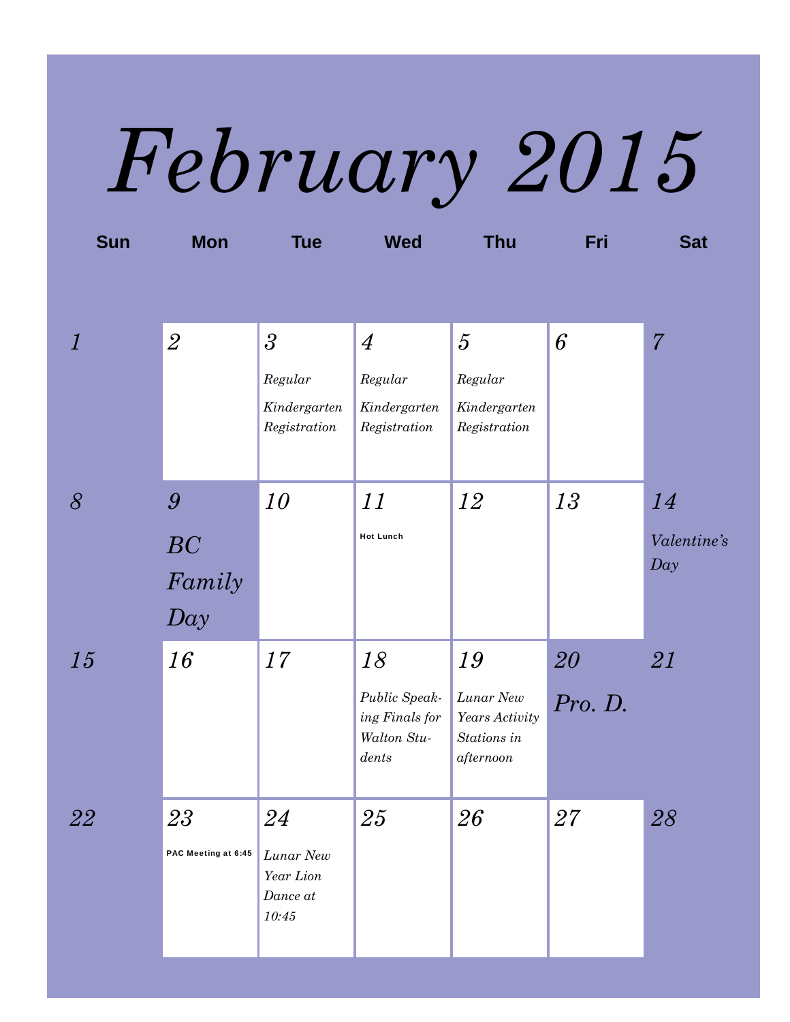# *February 2015*

| <b>Sun</b>     | <b>Mon</b>          | <b>Tue</b>             | <b>Wed</b>                    | <b>Thu</b>                                       | Fri     | <b>Sat</b>     |
|----------------|---------------------|------------------------|-------------------------------|--------------------------------------------------|---------|----------------|
|                |                     |                        |                               |                                                  |         |                |
|                |                     |                        |                               |                                                  |         |                |
| $\overline{l}$ | $\overline{2}$      | $\overline{3}$         | $\overline{4}$                | $\mathfrak{H}$                                   | 6       | $\overline{7}$ |
|                |                     | Regular                | Regular                       | ${\it Regular}$                                  |         |                |
|                |                     | Kindergarten<br>Region | Kindergarten<br>Region        | Kindergarten<br>$\label{eq:q:reg} Registeration$ |         |                |
|                |                     |                        |                               |                                                  |         |                |
| $\delta$       | $\boldsymbol{g}$    | 10                     | 11                            | 12                                               | 13      | 14             |
|                | BC                  |                        | <b>Hot Lunch</b>              |                                                  |         | Valentine's    |
|                |                     |                        |                               |                                                  |         | Day            |
|                | Family              |                        |                               |                                                  |         |                |
|                | Day                 |                        |                               |                                                  |         |                |
| 15             | 16                  | 17                     | 18                            | 19                                               | 20      | 21             |
|                |                     |                        | Public Speak-                 | Lunar New                                        | Pro. D. |                |
|                |                     |                        | ing Finals for<br>Walton Stu- | Years Activity<br>Stations in                    |         |                |
|                |                     |                        | dents                         | $after no on$                                    |         |                |
|                |                     |                        |                               |                                                  |         |                |
| 22             | 23                  | 24                     | 25                            | 26                                               | $27\,$  | 28             |
|                | PAC Meeting at 6:45 | Lunar New<br>Year Lion |                               |                                                  |         |                |
|                |                     | Dance at               |                               |                                                  |         |                |
|                |                     | $10:45$                |                               |                                                  |         |                |
|                |                     |                        |                               |                                                  |         |                |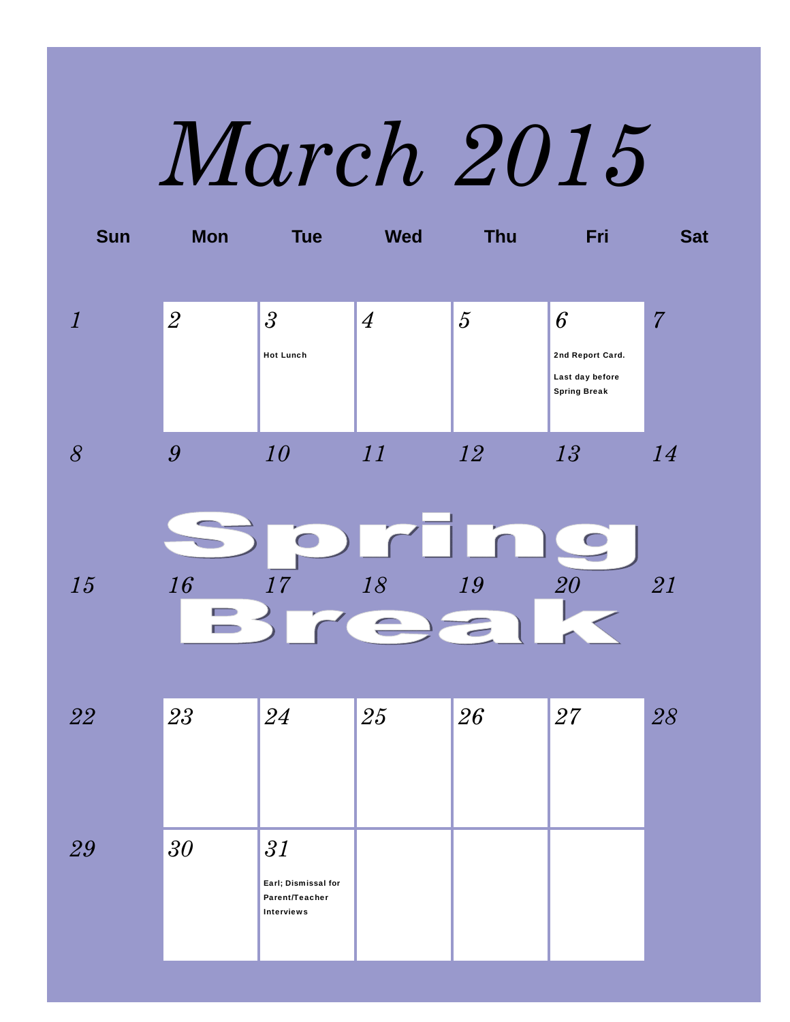# *March 2015*

| <b>Sun</b>     | <b>Mon</b>       | <b>Tue</b>                         | <b>Wed</b>       | <b>Thu</b>     | Fri                                                             | <b>Sat</b> |
|----------------|------------------|------------------------------------|------------------|----------------|-----------------------------------------------------------------|------------|
|                | $\overline{2}$   | $\mathfrak{Z}$<br><b>Hot Lunch</b> | $\boldsymbol{4}$ | $\overline{5}$ | 6<br>2nd Report Card.<br>Last day before<br><b>Spring Break</b> | $\sqrt{7}$ |
| 8 <sup>°</sup> | $\boldsymbol{9}$ | <i>10</i>                          | 11               | 12             | 13                                                              | 14         |





| 22 | 23 | 24                                                               | 25 | 26 | 27 | 28 |
|----|----|------------------------------------------------------------------|----|----|----|----|
|    |    |                                                                  |    |    |    |    |
|    |    |                                                                  |    |    |    |    |
| 29 | 30 | 31<br>Earl; Dismissal for<br>Parent/Teacher<br><b>Interviews</b> |    |    |    |    |
|    |    |                                                                  |    |    |    |    |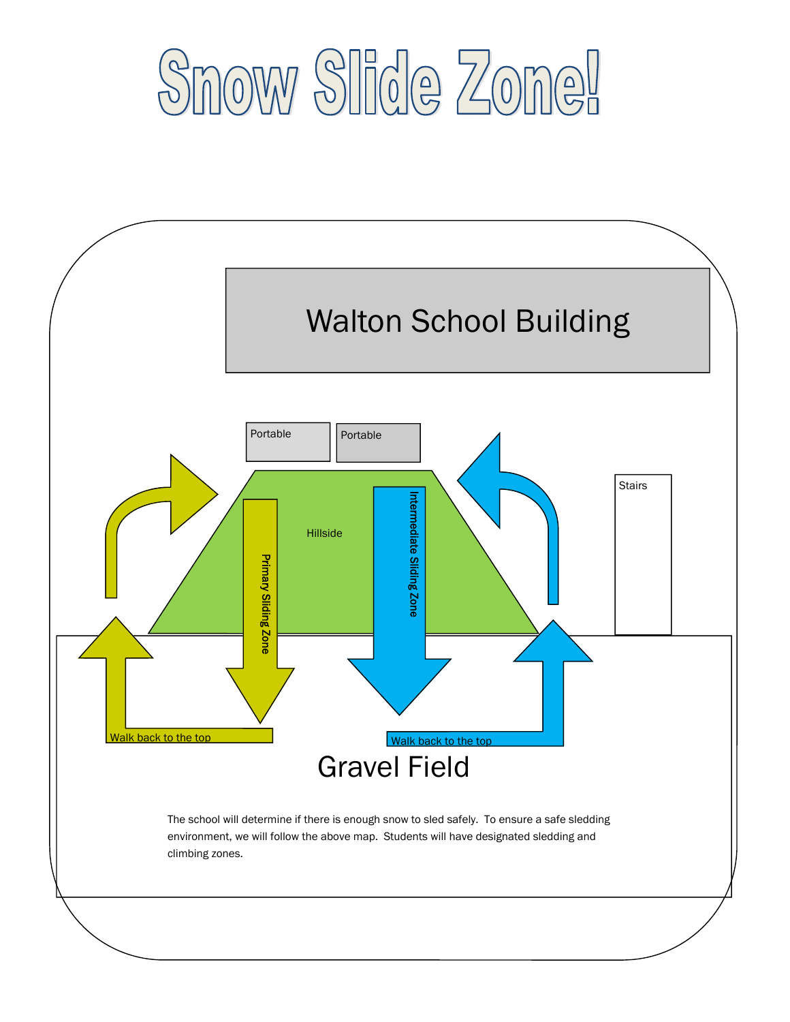

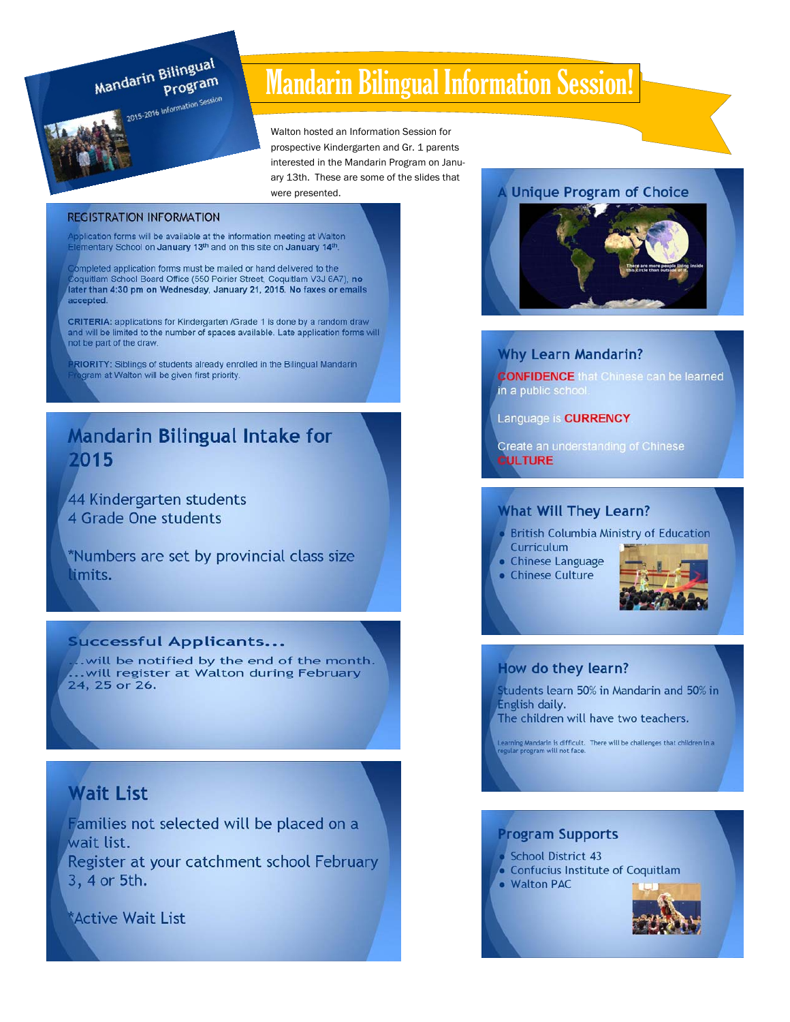# Mandarin Bilingual Program 2015-2016 Information Session



Walton hosted an Information Session for prospective Kindergarten and Gr. 1 parents interested in the Mandarin Program on January 13th. These are some of the slides that were presented.

### **REGISTRATION INFORMATION**

Application forms will be available at the information meeting at Walton Elementary School on January 13th and on this site on January 14th.

Completed application forms must be mailed or hand delivered to the<br>Coquitlam School Board Office (550 Poirier Street, Coquitlam V3J 6A7), no later than 4:30 pm on Wednesday, January 21, 2015. No faxes or emails accepted.

CRITERIA: applications for Kindergarten /Grade 1 is done by a random draw and will be limited to the number of spaces available. Late application forms will not be part of the draw.

RIORITY: Siblings of students already enrolled in the Bilingual Mandarin gram at Walton will be given first priority.

# **Mandarin Bilingual Intake for** 2015

44 Kindergarten students 4 Grade One students

\*Numbers are set by provincial class size limits.

### **Successful Applicants...**

. will be notified by the end of the month. .. will register at Walton during February 24, 25 or 26.

# **Wait List**

Families not selected will be placed on a wait list. Register at your catchment school February 3, 4 or 5th.

**Active Wait List** 



# **Why Learn Mandarin?**

**CONFIDENCE** that Chinese can be learned in a public school.

Language is **CURRENCY** 

Create an understanding of Chinese **CULTURE** 

# **What Will They Learn?**

**British Columbia Ministry of Education** Curriculum

- Chinese Language
- Chinese Culture



# How do they learn?

Students learn 50% in Mandarin and 50% in English daily.

The children will have two teachers.

earning Mandarin is difficult. There will be challenges that children in a<br>egular program will not face.

# **Program Supports**

- **School District 43**
- Confucius Institute of Coquitlam
- Walton PAC